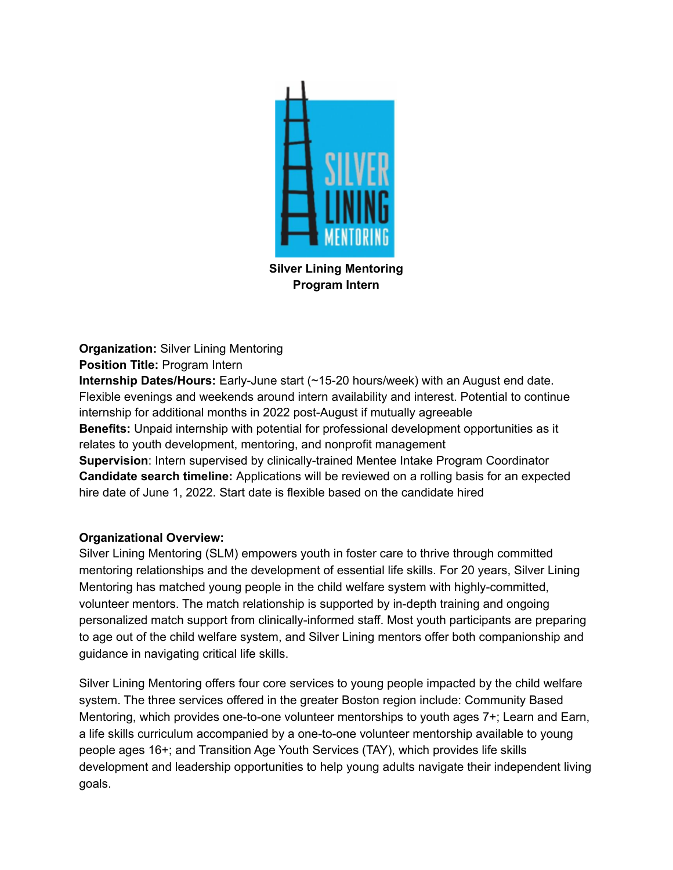

**Silver Lining Mentoring Program Intern**

**Organization:** Silver Lining Mentoring **Position Title:** Program Intern

**Internship Dates/Hours:** Early-June start (~15-20 hours/week) with an August end date. Flexible evenings and weekends around intern availability and interest. Potential to continue internship for additional months in 2022 post-August if mutually agreeable **Benefits:** Unpaid internship with potential for professional development opportunities as it relates to youth development, mentoring, and nonprofit management **Supervision**: Intern supervised by clinically-trained Mentee Intake Program Coordinator **Candidate search timeline:** Applications will be reviewed on a rolling basis for an expected hire date of June 1, 2022. Start date is flexible based on the candidate hired

# **Organizational Overview:**

Silver Lining Mentoring (SLM) empowers youth in foster care to thrive through committed mentoring relationships and the development of essential life skills. For 20 years, Silver Lining Mentoring has matched young people in the child welfare system with highly-committed, volunteer mentors. The match relationship is supported by in-depth training and ongoing personalized match support from clinically-informed staff. Most youth participants are preparing to age out of the child welfare system, and Silver Lining mentors offer both companionship and guidance in navigating critical life skills.

Silver Lining Mentoring offers four core services to young people impacted by the child welfare system. The three services offered in the greater Boston region include: Community Based Mentoring, which provides one-to-one volunteer mentorships to youth ages 7+; Learn and Earn, a life skills curriculum accompanied by a one-to-one volunteer mentorship available to young people ages 16+; and Transition Age Youth Services (TAY), which provides life skills development and leadership opportunities to help young adults navigate their independent living goals.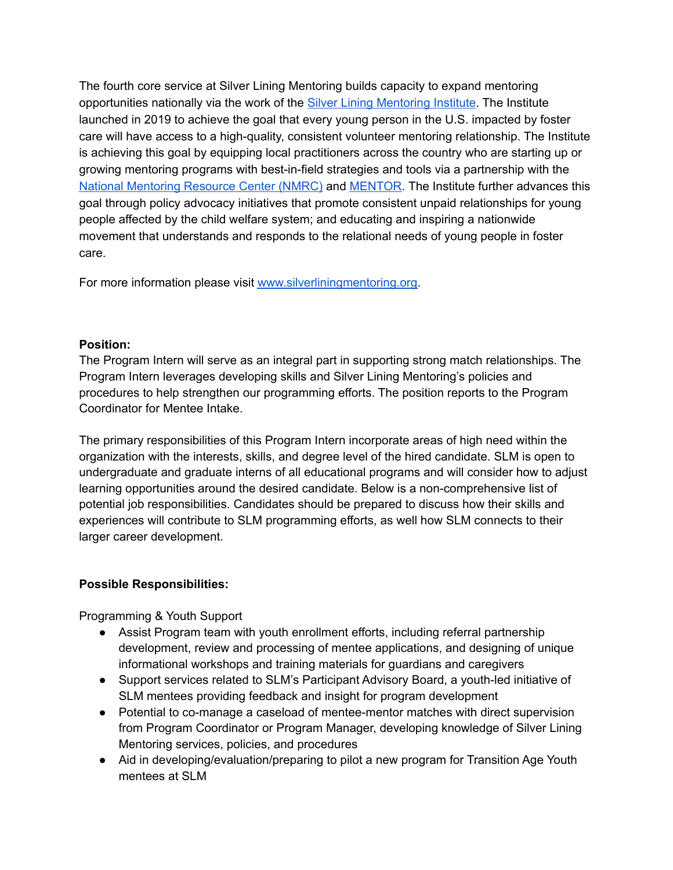The fourth core service at Silver Lining Mentoring builds capacity to expand mentoring opportunities nationally via the work of the Silver Lining [Mentoring](https://www.silverliningmentoring.org/silver-lining-institute/) Institute. The Institute launched in 2019 to achieve the goal that every young person in the U.S. impacted by foster care will have access to a high-quality, consistent volunteer mentoring relationship. The Institute is achieving this goal by equipping local practitioners across the country who are starting up or growing mentoring programs with best-in-field strategies and tools via a partnership with th[e](https://nationalmentoringresourcecenter.org/index.php) National [Mentoring](https://nationalmentoringresourcecenter.org/index.php) Resource Center (NMRC) and [MENTOR.](https://www.mentoring.org/) The Institute further advances this goal through policy advocacy initiatives that promote consistent unpaid relationships for young people affected by the child welfare system; and educating and inspiring a nationwide movement that understands and responds to the relational needs of young people in foster care.

For more information please visit [www.silverliningmentoring.org.](http://www.silverliningmentoring.org/)

### **Position:**

The Program Intern will serve as an integral part in supporting strong match relationships. The Program Intern leverages developing skills and Silver Lining Mentoring's policies and procedures to help strengthen our programming efforts. The position reports to the Program Coordinator for Mentee Intake.

The primary responsibilities of this Program Intern incorporate areas of high need within the organization with the interests, skills, and degree level of the hired candidate. SLM is open to undergraduate and graduate interns of all educational programs and will consider how to adjust learning opportunities around the desired candidate. Below is a non-comprehensive list of potential job responsibilities. Candidates should be prepared to discuss how their skills and experiences will contribute to SLM programming efforts, as well how SLM connects to their larger career development.

# **Possible Responsibilities:**

Programming & Youth Support

- Assist Program team with youth enrollment efforts, including referral partnership development, review and processing of mentee applications, and designing of unique informational workshops and training materials for guardians and caregivers
- Support services related to SLM's Participant Advisory Board, a youth-led initiative of SLM mentees providing feedback and insight for program development
- Potential to co-manage a caseload of mentee-mentor matches with direct supervision from Program Coordinator or Program Manager, developing knowledge of Silver Lining Mentoring services, policies, and procedures
- Aid in developing/evaluation/preparing to pilot a new program for Transition Age Youth mentees at SLM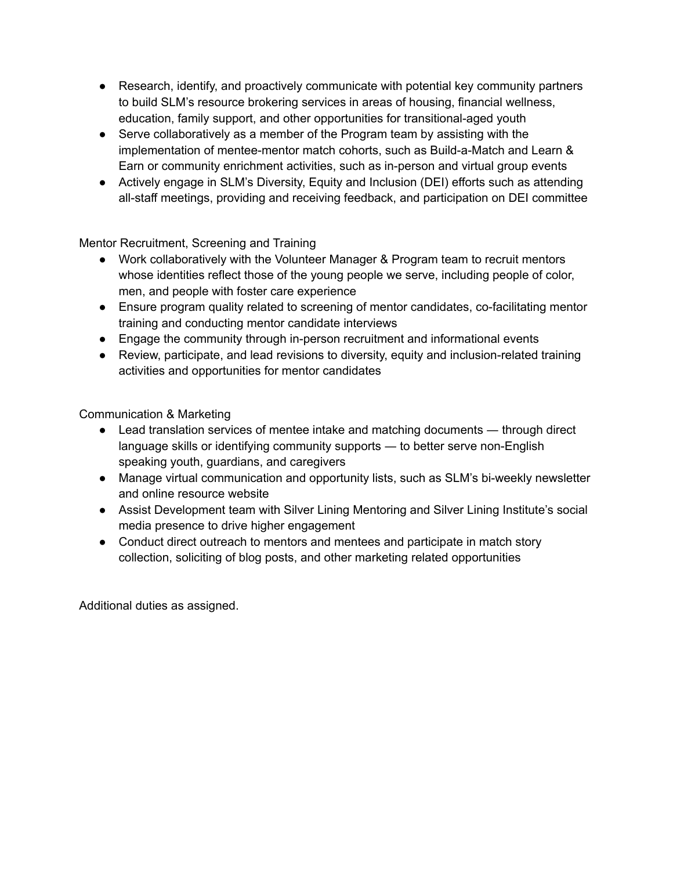- Research, identify, and proactively communicate with potential key community partners to build SLM's resource brokering services in areas of housing, financial wellness, education, family support, and other opportunities for transitional-aged youth
- Serve collaboratively as a member of the Program team by assisting with the implementation of mentee-mentor match cohorts, such as Build-a-Match and Learn & Earn or community enrichment activities, such as in-person and virtual group events
- Actively engage in SLM's Diversity, Equity and Inclusion (DEI) efforts such as attending all-staff meetings, providing and receiving feedback, and participation on DEI committee

Mentor Recruitment, Screening and Training

- Work collaboratively with the Volunteer Manager & Program team to recruit mentors whose identities reflect those of the young people we serve, including people of color, men, and people with foster care experience
- Ensure program quality related to screening of mentor candidates, co-facilitating mentor training and conducting mentor candidate interviews
- Engage the community through in-person recruitment and informational events
- Review, participate, and lead revisions to diversity, equity and inclusion-related training activities and opportunities for mentor candidates

Communication & Marketing

- Lead translation services of mentee intake and matching documents through direct language skills or identifying community supports ― to better serve non-English speaking youth, guardians, and caregivers
- Manage virtual communication and opportunity lists, such as SLM's bi-weekly newsletter and online resource website
- Assist Development team with Silver Lining Mentoring and Silver Lining Institute's social media presence to drive higher engagement
- Conduct direct outreach to mentors and mentees and participate in match story collection, soliciting of blog posts, and other marketing related opportunities

Additional duties as assigned.